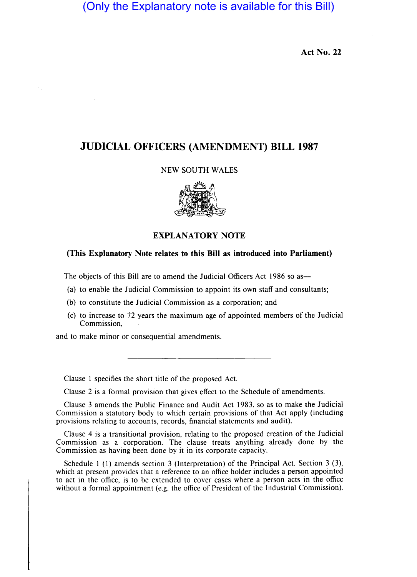# (Only the Explanatory note is available for this Bill)

**Act No. 22** 

## **JUDICIAL OFFICERS (AMENDMENT) BILL 1987**

#### NEW SOUTH WALES



### **EXPLANATORY NOTE**

#### **(This Explanatory Note relates to this Bill as introduced into Parliament)**

The objects of this Bill are to amend the Judicial Officers Act 1986 so as-

- (a) to enable the Judicial Commission to appoint its own staff and consultants;
- (b) to constitute the Judicial Commission as a corporation; and
- (c) to increase to 72 years the maximum age of appointed members of the Judicial Commission,

and to make minor or consequential amendments.

Clause I specifies the short title of the proposed Act.

Clause 2 is a formal provision that gives effect to the Schedule of amendments.

Clause 3 amends the Public Finance and Audit Act 1983, so as to make the Judicial Commission a statutory body to which certain provisions of that Act apply (including provisions relating to accounts, records, financial statements and audit).

Clause 4 is a transitional provision, relating to the proposed creation of the Judicial Commission as a corporation. The clause treats anything already done by the Commission as having been done by it in its corporate capacity.

Schedule 1 (l) amends section 3 (Interpretation) of the Principal Act. Section 3 (3), which at present provides that a reference to an office holder includes a person appointed to act in the office, is to be extended to cover cases where a person acts in the office without a formal appointment (e.g. the office of President of the Industrial Commission).